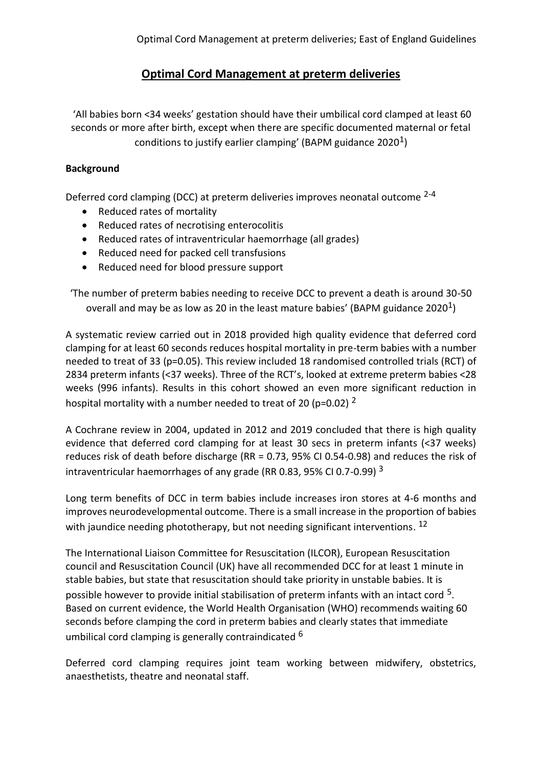# **Optimal Cord Management at preterm deliveries**

'All babies born <34 weeks' gestation should have their umbilical cord clamped at least 60 seconds or more after birth, except when there are specific documented maternal or fetal conditions to justify earlier clamping' (BAPM guidance 2020 $^1$ )

# **Background**

Deferred cord clamping (DCC) at preterm deliveries improves neonatal outcome 2-4

- Reduced rates of mortality
- Reduced rates of necrotising enterocolitis
- Reduced rates of intraventricular haemorrhage (all grades)
- Reduced need for packed cell transfusions
- Reduced need for blood pressure support

'The number of preterm babies needing to receive DCC to prevent a death is around 30-50 overall and may be as low as 20 in the least mature babies' (BAPM guidance 2020<sup>1</sup>)

A systematic review carried out in 2018 provided high quality evidence that deferred cord clamping for at least 60 seconds reduces hospital mortality in pre-term babies with a number needed to treat of 33 (p=0.05). This review included 18 randomised controlled trials (RCT) of 2834 preterm infants (<37 weeks). Three of the RCT's, looked at extreme preterm babies <28 weeks (996 infants). Results in this cohort showed an even more significant reduction in hospital mortality with a number needed to treat of 20 (p=0.02)  $^2$ 

A Cochrane review in 2004, updated in 2012 and 2019 concluded that there is high quality evidence that deferred cord clamping for at least 30 secs in preterm infants (<37 weeks) reduces risk of death before discharge (RR = 0.73, 95% CI 0.54-0.98) and reduces the risk of intraventricular haemorrhages of any grade (RR 0.83, 95% CI 0.7-0.99) <sup>3</sup>

Long term benefits of DCC in term babies include increases iron stores at 4-6 months and improves neurodevelopmental outcome. There is a small increase in the proportion of babies with jaundice needing phototherapy, but not needing significant interventions.  $^{12}$ 

The International Liaison Committee for Resuscitation (ILCOR), European Resuscitation council and Resuscitation Council (UK) have all recommended DCC for at least 1 minute in stable babies, but state that resuscitation should take priority in unstable babies. It is possible however to provide initial stabilisation of preterm infants with an intact cord  $5$ . Based on current evidence, the World Health Organisation (WHO) recommends waiting 60 seconds before clamping the cord in preterm babies and clearly states that immediate umbilical cord clamping is generally contraindicated <sup>6</sup>

Deferred cord clamping requires joint team working between midwifery, obstetrics, anaesthetists, theatre and neonatal staff.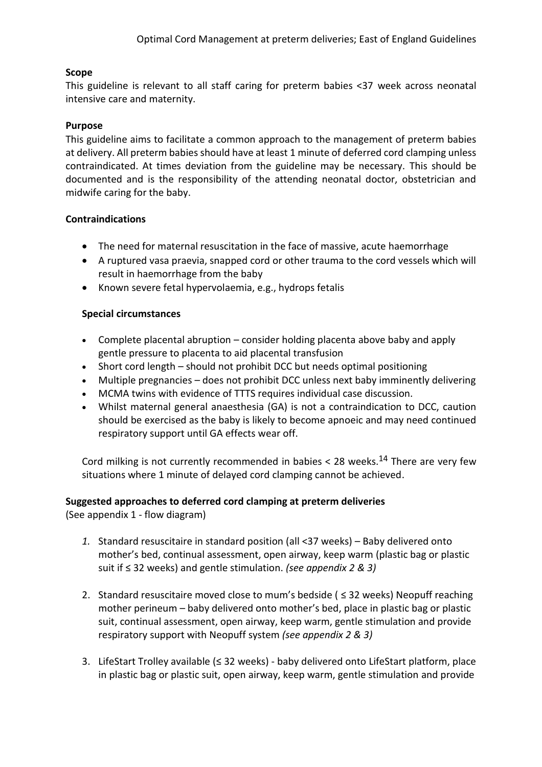## **Scope**

This guideline is relevant to all staff caring for preterm babies <37 week across neonatal intensive care and maternity.

#### **Purpose**

This guideline aims to facilitate a common approach to the management of preterm babies at delivery. All preterm babies should have at least 1 minute of deferred cord clamping unless contraindicated. At times deviation from the guideline may be necessary. This should be documented and is the responsibility of the attending neonatal doctor, obstetrician and midwife caring for the baby.

#### **Contraindications**

- The need for maternal resuscitation in the face of massive, acute haemorrhage
- A ruptured vasa praevia, snapped cord or other trauma to the cord vessels which will result in haemorrhage from the baby
- Known severe fetal hypervolaemia, e.g., hydrops fetalis

### **Special circumstances**

- Complete placental abruption consider holding placenta above baby and apply gentle pressure to placenta to aid placental transfusion
- Short cord length should not prohibit DCC but needs optimal positioning
- Multiple pregnancies does not prohibit DCC unless next baby imminently delivering
- MCMA twins with evidence of TTTS requires individual case discussion.
- Whilst maternal general anaesthesia (GA) is not a contraindication to DCC, caution should be exercised as the baby is likely to become apnoeic and may need continued respiratory support until GA effects wear off.

Cord milking is not currently recommended in babies  $<$  28 weeks.<sup>14</sup> There are very few situations where 1 minute of delayed cord clamping cannot be achieved.

#### **Suggested approaches to deferred cord clamping at preterm deliveries**

(See appendix 1 - flow diagram)

- *1.* Standard resuscitaire in standard position (all <37 weeks) Baby delivered onto mother's bed, continual assessment, open airway, keep warm (plastic bag or plastic suit if ≤ 32 weeks) and gentle stimulation. *(see appendix 2 & 3)*
- 2. Standard resuscitaire moved close to mum's bedside ( $\leq$  32 weeks) Neopuff reaching mother perineum – baby delivered onto mother's bed, place in plastic bag or plastic suit, continual assessment, open airway, keep warm, gentle stimulation and provide respiratory support with Neopuff system *(see appendix 2 & 3)*
- 3. LifeStart Trolley available (≤ 32 weeks) baby delivered onto LifeStart platform, place in plastic bag or plastic suit, open airway, keep warm, gentle stimulation and provide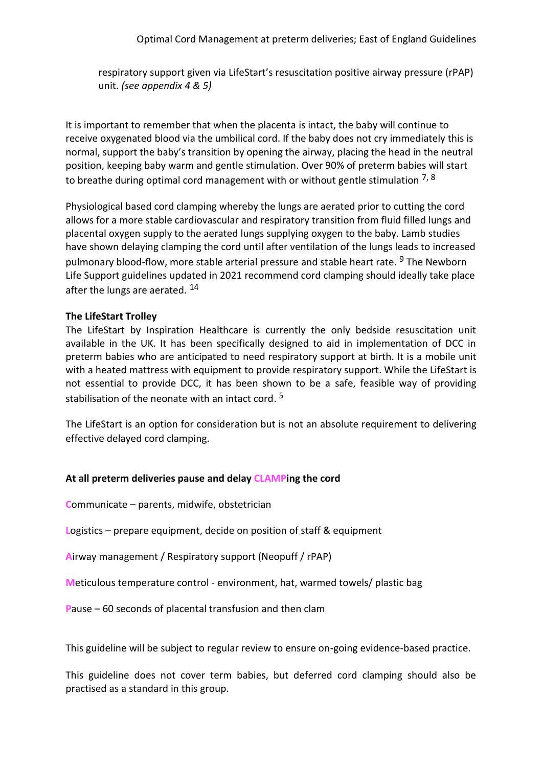respiratory support given via LifeStart's resuscitation positive airway pressure (rPAP) unit. *(see appendix 4 & 5)*

It is important to remember that when the placenta is intact, the baby will continue to receive oxygenated blood via the umbilical cord. If the baby does not cry immediately this is normal, support the baby's transition by opening the airway, placing the head in the neutral position, keeping baby warm and gentle stimulation. Over 90% of preterm babies will start to breathe during optimal cord management with or without gentle stimulation  $^{7, 8}$ 

Physiological based cord clamping whereby the lungs are aerated prior to cutting the cord allows for a more stable cardiovascular and respiratory transition from fluid filled lungs and placental oxygen supply to the aerated lungs supplying oxygen to the baby. Lamb studies have shown delaying clamping the cord until after ventilation of the lungs leads to increased pulmonary blood-flow, more stable arterial pressure and stable heart rate. <sup>9</sup> The Newborn Life Support guidelines updated in 2021 recommend cord clamping should ideally take place after the lungs are aerated. <sup>14</sup>

### **The LifeStart Trolley**

The LifeStart by Inspiration Healthcare is currently the only bedside resuscitation unit available in the UK. It has been specifically designed to aid in implementation of DCC in preterm babies who are anticipated to need respiratory support at birth. It is a mobile unit with a heated mattress with equipment to provide respiratory support. While the LifeStart is not essential to provide DCC, it has been shown to be a safe, feasible way of providing stabilisation of the neonate with an intact cord. 5

The LifeStart is an option for consideration but is not an absolute requirement to delivering effective delayed cord clamping.

# **At all preterm deliveries pause and delay CLAMPing the cord**

**C**ommunicate – parents, midwife, obstetrician

**L**ogistics – prepare equipment, decide on position of staff & equipment

**A**irway management / Respiratory support (Neopuff / rPAP)

**M**eticulous temperature control - environment, hat, warmed towels/ plastic bag

**P**ause – 60 seconds of placental transfusion and then clam

This guideline will be subject to regular review to ensure on-going evidence-based practice.

This guideline does not cover term babies, but deferred cord clamping should also be practised as a standard in this group.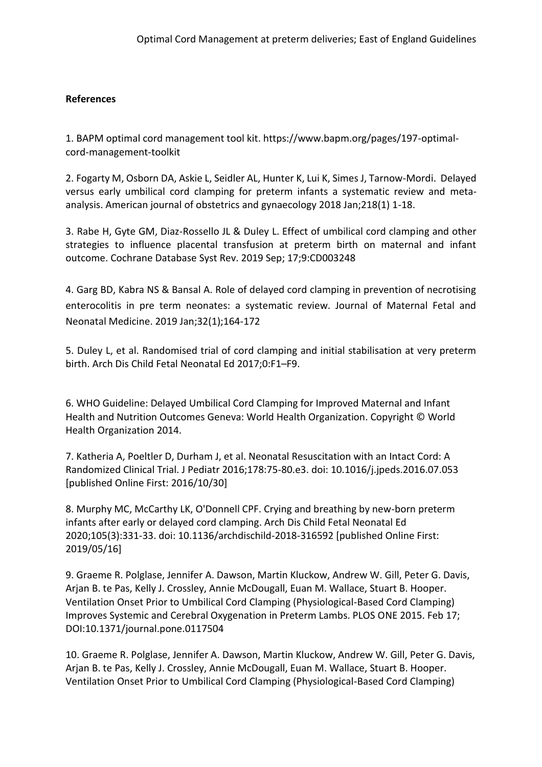# **References**

1. BAPM optimal cord management tool kit. https://www.bapm.org/pages/197-optimalcord-management-toolkit

2. Fogarty M, Osborn DA, Askie L, Seidler AL, Hunter K, Lui K, Simes J, Tarnow-Mordi. Delayed versus early umbilical cord clamping for preterm infants a systematic review and metaanalysis. American journal of obstetrics and gynaecology 2018 Jan;218(1) 1-18.

3. Rabe H, Gyte GM, Diaz-Rossello JL & Duley L. Effect of umbilical cord clamping and other strategies to influence placental transfusion at preterm birth on maternal and infant outcome. Cochrane Database Syst Rev. 2019 Sep; 17;9:CD003248

4. Garg BD, Kabra NS & Bansal A. Role of delayed cord clamping in prevention of necrotising enterocolitis in pre term neonates: a systematic review. Journal of Maternal Fetal and Neonatal Medicine. 2019 Jan;32(1);164-172

5. Duley L, et al. Randomised trial of cord clamping and initial stabilisation at very preterm birth. Arch Dis Child Fetal Neonatal Ed 2017;0:F1–F9.

6. WHO Guideline: Delayed Umbilical Cord Clamping for Improved Maternal and Infant Health and Nutrition Outcomes Geneva: World Health Organization. Copyright © World Health Organization 2014.

7. Katheria A, Poeltler D, Durham J, et al. Neonatal Resuscitation with an Intact Cord: A Randomized Clinical Trial. J Pediatr 2016;178:75-80.e3. doi: 10.1016/j.jpeds.2016.07.053 [published Online First: 2016/10/30]

8. Murphy MC, McCarthy LK, O'Donnell CPF. Crying and breathing by new-born preterm infants after early or delayed cord clamping. Arch Dis Child Fetal Neonatal Ed 2020;105(3):331-33. doi: 10.1136/archdischild-2018-316592 [published Online First: 2019/05/16]

9. Graeme R. Polglase, Jennifer A. Dawson, Martin Kluckow, Andrew W. Gill, Peter G. Davis, Arjan B. te Pas, Kelly J. Crossley, Annie McDougall, Euan M. Wallace, Stuart B. Hooper. Ventilation Onset Prior to Umbilical Cord Clamping (Physiological-Based Cord Clamping) Improves Systemic and Cerebral Oxygenation in Preterm Lambs. PLOS ONE 2015. Feb 17; DOI:10.1371/journal.pone.0117504

10. Graeme R. Polglase, Jennifer A. Dawson, Martin Kluckow, Andrew W. Gill, Peter G. Davis, Arjan B. te Pas, Kelly J. Crossley, Annie McDougall, Euan M. Wallace, Stuart B. Hooper. Ventilation Onset Prior to Umbilical Cord Clamping (Physiological-Based Cord Clamping)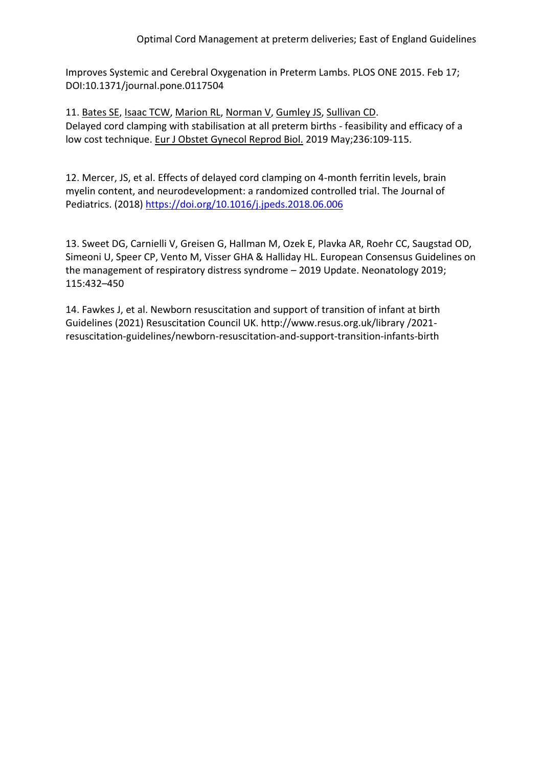Improves Systemic and Cerebral Oxygenation in Preterm Lambs. PLOS ONE 2015. Feb 17; DOI:10.1371/journal.pone.0117504

11. [Bates SE,](https://www.ncbi.nlm.nih.gov/pubmed/?term=Bates%20SE%5BAuthor%5D&cauthor=true&cauthor_uid=30903883) [Isaac TCW,](https://www.ncbi.nlm.nih.gov/pubmed/?term=Isaac%20TCW%5BAuthor%5D&cauthor=true&cauthor_uid=30903883) [Marion RL,](https://www.ncbi.nlm.nih.gov/pubmed/?term=Marion%20RL%5BAuthor%5D&cauthor=true&cauthor_uid=30903883) [Norman V,](https://www.ncbi.nlm.nih.gov/pubmed/?term=Norman%20V%5BAuthor%5D&cauthor=true&cauthor_uid=30903883) [Gumley JS,](https://www.ncbi.nlm.nih.gov/pubmed/?term=Gumley%20JS%5BAuthor%5D&cauthor=true&cauthor_uid=30903883) [Sullivan CD.](https://www.ncbi.nlm.nih.gov/pubmed/?term=Sullivan%20CD%5BAuthor%5D&cauthor=true&cauthor_uid=30903883) Delayed cord clamping with stabilisation at all preterm births - feasibility and efficacy of a low cost technique. [Eur J Obstet Gynecol Reprod Biol.](https://www.ncbi.nlm.nih.gov/pubmed/30903883) 2019 May;236:109-115.

12. Mercer, JS, et al. Effects of delayed cord clamping on 4-month ferritin levels, brain myelin content, and neurodevelopment: a randomized controlled trial. The Journal of Pediatrics. (2018) <https://doi.org/10.1016/j.jpeds.2018.06.006>

13. Sweet DG, Carnielli V, Greisen G, Hallman M, Ozek E, Plavka AR, Roehr CC, Saugstad OD, Simeoni U, Speer CP, Vento M, Visser GHA & Halliday HL. European Consensus Guidelines on the management of respiratory distress syndrome – 2019 Update. Neonatology 2019; 115:432–450

14. Fawkes J, et al. Newborn resuscitation and support of transition of infant at birth Guidelines (2021) Resuscitation Council UK. http://www.resus.org.uk/library /2021 resuscitation-guidelines/newborn-resuscitation-and-support-transition-infants-birth